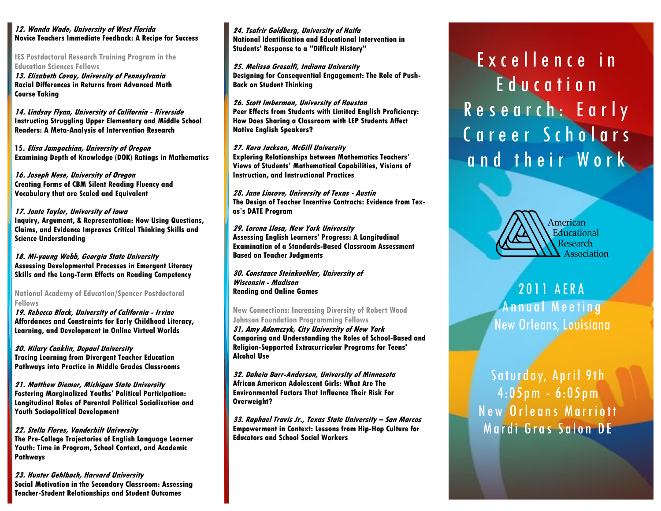## **12. Wanda Wade, University of West Florida Novice Teachers Immediate Feedback: A Recipe for Success**

**IES Postdoctoral Research Training Program in the Education Sciences Fellows**

**13. Elizabeth Covay, University of Pennsylvania Racial Differences in Returns from Advanced Math Course Taking**

**14. Lindsay Flynn, University of California - Riverside Instructing Struggling Upper Elementary and Middle School Readers: A Meta-Analysis of Intervention Research**

**15. Elisa Jamgochian, University of Oregon Examining Depth of Knowledge (DOK) Ratings in Mathematics**

**16. Joseph Nese, University of Oregon Creating Forms of CBM Silent Reading Fluency and Vocabulary that are Scaled and Equivalent**

### **17. Jonte Taylor, University of Iowa Inquiry, Argument, & Representation: How Using Questions, Claims, and Evidence Improves Critical Thinking Skills and Science Understanding**

**18. Mi-young Webb, Georgia State University Assessing Developmental Processes in Emergent Literacy Skills and the Long-Term Effects on Reading Competency**

**National Academy of Education/Spencer Postdoctoral Fellows**

**19. Rebecca Black, University of California - Irvine Affordances and Constraints for Early Childhood Literacy, Learning, and Development in Online Virtual Worlds**

**20. Hilary Conklin, Depaul University Tracing Learning from Divergent Teacher Education Pathways into Practice in Middle Grades Classrooms**

**21. Matthew Diemer, Michigan State University Fostering Marginalized Youths' Political Participation: Longitudinal Roles of Parental Political Socialization and Youth Sociopolitical Development**

**22. Stella Flores, Vanderbilt University The Pre-College Trajectories of English Language Learner Youth: Time in Program, School Context, and Academic Pathways**

**23. Hunter Gehlbach, Harvard University Social Motivation in the Secondary Classroom: Assessing Teacher-Student Relationships and Student Outcomes**

**24. Tsafrir Goldberg, University of Haifa National Identification and Educational Intervention in Students' Response to a "Difficult History"**

**25. Melissa Gresalfi, Indiana University Designing for Consequential Engagement: The Role of Push-Back on Student Thinking**

**26. Scott Imberman, University of Houston Peer Effects from Students with Limited English Proficiency: How Does Sharing a Classroom with LEP Students Affect Native English Speakers?**

**27. Kara Jackson, McGill University Exploring Relationships between Mathematics Teachers' Views of Students' Mathematical Capabilities, Visions of Instruction, and Instructional Practices**

**28. Jane Lincove, University of Texas - Austin The Design of Teacher Incentive Contracts: Evidence from Texas's DATE Program** 

**29. Lorena Llosa, New York University Assessing English Learners' Progress: A Longitudinal Examination of a Standards-Based Classroom Assessment Based on Teacher Judgments**

**30. Constance Steinkuehler, University of Wisconsin - Madison Reading and Online Games**

**New Connections: Increasing Diversity of Robert Wood Johnson Foundation Programming Fellows**

**31. Amy Adamczyk, City University of New York Comparing and Understanding the Roles of School-Based and Religion-Supported Extracurricular Programs for Teens' Alcohol Use**

**32. Daheia Barr-Anderson, University of Minnesota African American Adolescent Girls: What Are The Environmental Factors That Influence Their Risk For Overweight?**

**33. Raphael Travis Jr., Texas State University <sup>²</sup> San Marcos Empowerment in Context: Lessons from Hip-Hop Culture for Educators and School Social Workers**

# Excellence in Education Research: Early Career Scholars and their Work



2011 AERA Annual Meeting New Orleans, Louisiana

Saturday, April 9th 4:05pm - 6:05pm New Orleans Marriott Mardi Gras Salon DE